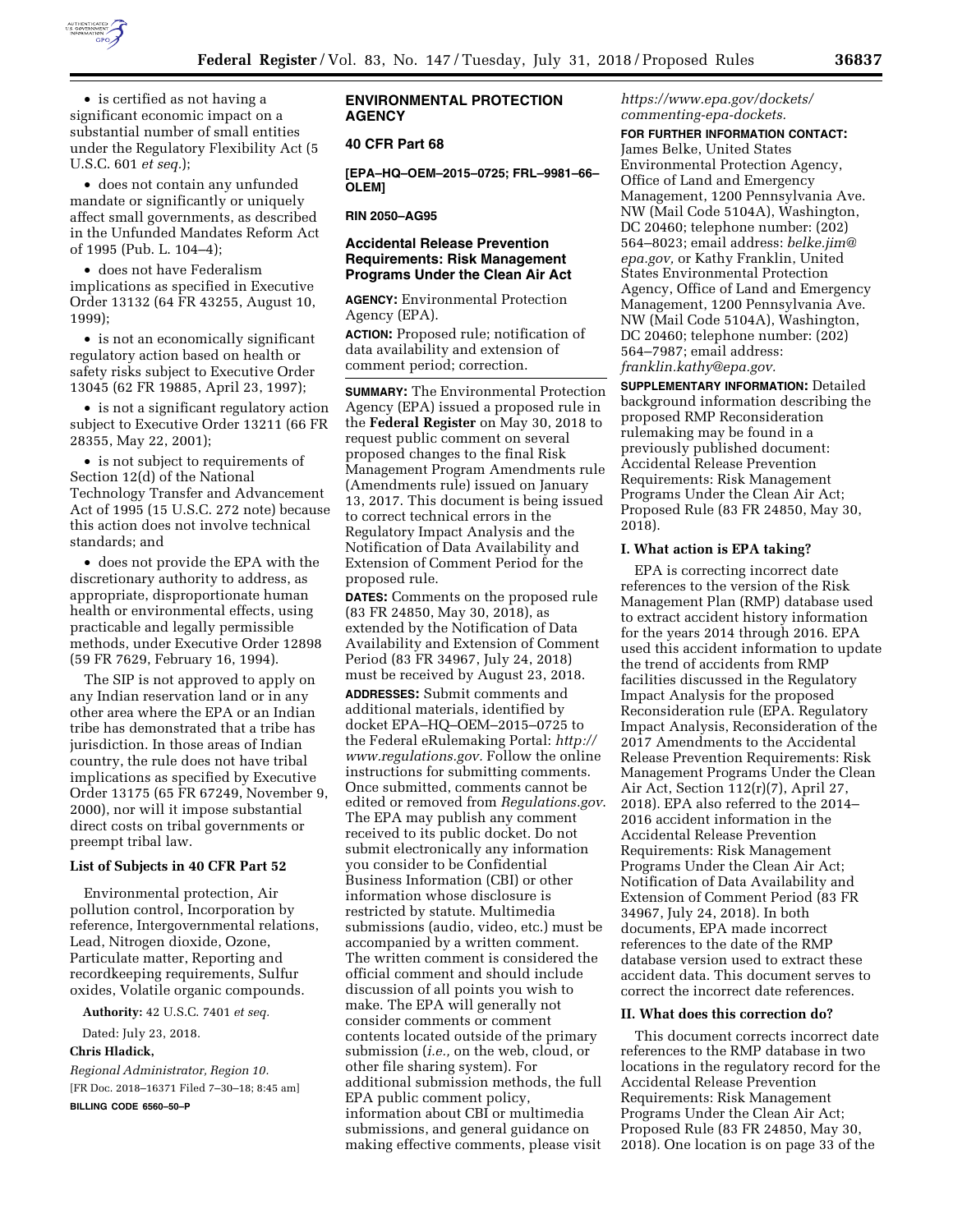

• is certified as not having a significant economic impact on a substantial number of small entities under the Regulatory Flexibility Act (5 U.S.C. 601 *et seq.*);

• does not contain any unfunded mandate or significantly or uniquely affect small governments, as described in the Unfunded Mandates Reform Act of 1995 (Pub. L. 104–4);

• does not have Federalism implications as specified in Executive Order 13132 (64 FR 43255, August 10, 1999);

• is not an economically significant regulatory action based on health or safety risks subject to Executive Order 13045 (62 FR 19885, April 23, 1997);

• is not a significant regulatory action subject to Executive Order 13211 (66 FR 28355, May 22, 2001);

• is not subject to requirements of Section 12(d) of the National Technology Transfer and Advancement Act of 1995 (15 U.S.C. 272 note) because this action does not involve technical standards; and

• does not provide the EPA with the discretionary authority to address, as appropriate, disproportionate human health or environmental effects, using practicable and legally permissible methods, under Executive Order 12898 (59 FR 7629, February 16, 1994).

The SIP is not approved to apply on any Indian reservation land or in any other area where the EPA or an Indian tribe has demonstrated that a tribe has jurisdiction. In those areas of Indian country, the rule does not have tribal implications as specified by Executive Order 13175 (65 FR 67249, November 9, 2000), nor will it impose substantial direct costs on tribal governments or preempt tribal law.

### **List of Subjects in 40 CFR Part 52**

Environmental protection, Air pollution control, Incorporation by reference, Intergovernmental relations, Lead, Nitrogen dioxide, Ozone, Particulate matter, Reporting and recordkeeping requirements, Sulfur oxides, Volatile organic compounds.

**Authority:** 42 U.S.C. 7401 *et seq.* 

Dated: July 23, 2018. **Chris Hladick,** 

*Regional Administrator, Region 10.*  [FR Doc. 2018–16371 Filed 7–30–18; 8:45 am] **BILLING CODE 6560–50–P** 

## **ENVIRONMENTAL PROTECTION AGENCY**

## **40 CFR Part 68**

**[EPA–HQ–OEM–2015–0725; FRL–9981–66– OLEM]** 

**RIN 2050–AG95** 

# **Accidental Release Prevention Requirements: Risk Management Programs Under the Clean Air Act**

**AGENCY:** Environmental Protection Agency (EPA).

**ACTION:** Proposed rule; notification of data availability and extension of comment period; correction.

**SUMMARY:** The Environmental Protection Agency (EPA) issued a proposed rule in the **Federal Register** on May 30, 2018 to request public comment on several proposed changes to the final Risk Management Program Amendments rule (Amendments rule) issued on January 13, 2017. This document is being issued to correct technical errors in the Regulatory Impact Analysis and the Notification of Data Availability and Extension of Comment Period for the proposed rule.

**DATES:** Comments on the proposed rule (83 FR 24850, May 30, 2018), as extended by the Notification of Data Availability and Extension of Comment Period (83 FR 34967, July 24, 2018) must be received by August 23, 2018.

**ADDRESSES:** Submit comments and additional materials, identified by docket EPA–HQ–OEM–2015–0725 to the Federal eRulemaking Portal: *[http://](http://www.regulations.gov) [www.regulations.gov.](http://www.regulations.gov)* Follow the online instructions for submitting comments. Once submitted, comments cannot be edited or removed from *Regulations.gov*. The EPA may publish any comment received to its public docket. Do not submit electronically any information you consider to be Confidential Business Information (CBI) or other information whose disclosure is restricted by statute. Multimedia submissions (audio, video, etc.) must be accompanied by a written comment. The written comment is considered the official comment and should include discussion of all points you wish to make. The EPA will generally not consider comments or comment contents located outside of the primary submission (*i.e.,* on the web, cloud, or other file sharing system). For additional submission methods, the full EPA public comment policy, information about CBI or multimedia submissions, and general guidance on making effective comments, please visit

### *[https://www.epa.gov/dockets/](https://www.epa.gov/dockets/commenting-epa-dockets)  [commenting-epa-dockets.](https://www.epa.gov/dockets/commenting-epa-dockets)*

**FOR FURTHER INFORMATION CONTACT:** 

James Belke, United States Environmental Protection Agency, Office of Land and Emergency Management, 1200 Pennsylvania Ave. NW (Mail Code 5104A), Washington, DC 20460; telephone number: (202) 564–8023; email address: *[belke.jim@](mailto:belke.jim@epa.gov) [epa.gov,](mailto:belke.jim@epa.gov)* or Kathy Franklin, United States Environmental Protection Agency, Office of Land and Emergency Management, 1200 Pennsylvania Ave. NW (Mail Code 5104A), Washington, DC 20460; telephone number: (202) 564–7987; email address: *[franklin.kathy@epa.gov.](mailto:franklin.kathy@epa.gov)* 

**SUPPLEMENTARY INFORMATION:** Detailed background information describing the proposed RMP Reconsideration rulemaking may be found in a previously published document: Accidental Release Prevention Requirements: Risk Management Programs Under the Clean Air Act; Proposed Rule (83 FR 24850, May 30, 2018).

### **I. What action is EPA taking?**

EPA is correcting incorrect date references to the version of the Risk Management Plan (RMP) database used to extract accident history information for the years 2014 through 2016. EPA used this accident information to update the trend of accidents from RMP facilities discussed in the Regulatory Impact Analysis for the proposed Reconsideration rule (EPA. Regulatory Impact Analysis, Reconsideration of the 2017 Amendments to the Accidental Release Prevention Requirements: Risk Management Programs Under the Clean Air Act, Section 112(r)(7), April 27, 2018). EPA also referred to the 2014– 2016 accident information in the Accidental Release Prevention Requirements: Risk Management Programs Under the Clean Air Act; Notification of Data Availability and Extension of Comment Period (83 FR 34967, July 24, 2018). In both documents, EPA made incorrect references to the date of the RMP database version used to extract these accident data. This document serves to correct the incorrect date references.

#### **II. What does this correction do?**

This document corrects incorrect date references to the RMP database in two locations in the regulatory record for the Accidental Release Prevention Requirements: Risk Management Programs Under the Clean Air Act; Proposed Rule (83 FR 24850, May 30, 2018). One location is on page 33 of the